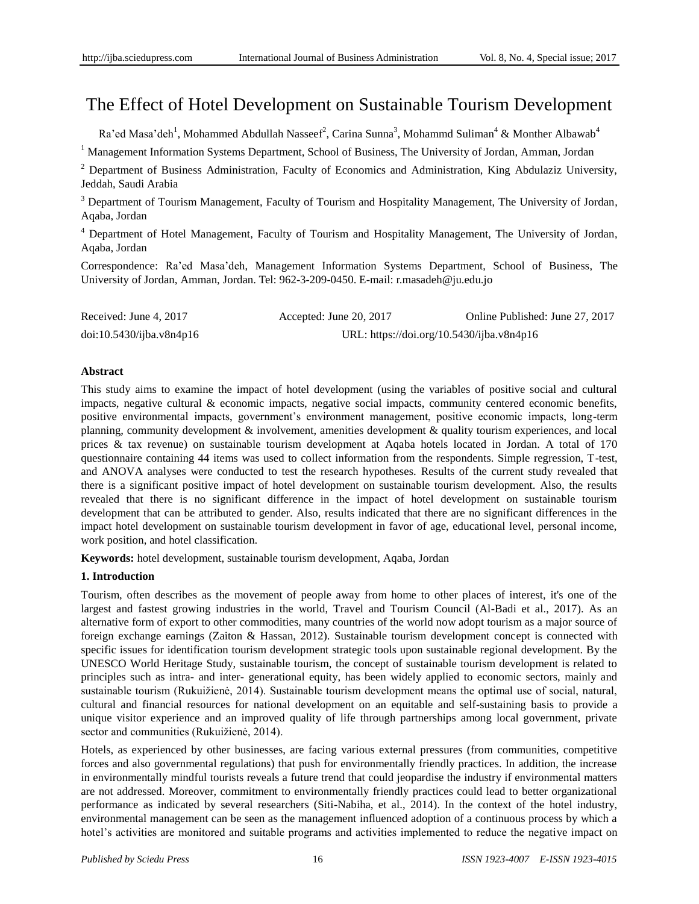# The Effect of Hotel Development on Sustainable Tourism Development

Ra'ed Masa'deh<sup>1</sup>, Mohammed Abdullah Nasseef<sup>2</sup>, Carina Sunna<sup>3</sup>, Mohammd Suliman<sup>4</sup> & Monther Albawab<sup>4</sup>

<sup>1</sup> Management Information Systems Department, School of Business, The University of Jordan, Amman, Jordan

<sup>2</sup> Department of Business Administration, Faculty of Economics and Administration, King Abdulaziz University, Jeddah, Saudi Arabia

<sup>3</sup> Department of Tourism Management, Faculty of Tourism and Hospitality Management, The University of Jordan, Aqaba, Jordan

<sup>4</sup> Department of Hotel Management, Faculty of Tourism and Hospitality Management, The University of Jordan, Aqaba, Jordan

Correspondence: Ra"ed Masa"deh, Management Information Systems Department, School of Business, The University of Jordan, Amman, Jordan. Tel: 962-3-209-0450. E-mail: r.masadeh@ju.edu.jo

| Received: June 4, 2017   | Accepted: June 20, 2017 | Online Published: June 27, 2017           |
|--------------------------|-------------------------|-------------------------------------------|
| doi:10.5430/ijba.v8n4p16 |                         | URL: https://doi.org/10.5430/ijba.v8n4p16 |

# **Abstract**

This study aims to examine the impact of hotel development (using the variables of positive social and cultural impacts, negative cultural & economic impacts, negative social impacts, community centered economic benefits, positive environmental impacts, government"s environment management, positive economic impacts, long-term planning, community development & involvement, amenities development & quality tourism experiences, and local prices & tax revenue) on sustainable tourism development at Aqaba hotels located in Jordan. A total of 170 questionnaire containing 44 items was used to collect information from the respondents. Simple regression, T-test, and ANOVA analyses were conducted to test the research hypotheses. Results of the current study revealed that there is a significant positive impact of hotel development on sustainable tourism development. Also, the results revealed that there is no significant difference in the impact of hotel development on sustainable tourism development that can be attributed to gender. Also, results indicated that there are no significant differences in the impact hotel development on sustainable tourism development in favor of age, educational level, personal income, work position, and hotel classification.

**Keywords:** hotel development, sustainable tourism development, Aqaba, Jordan

# **1. Introduction**

Tourism, often describes as the movement of people away from home to other places of interest, it's one of the largest and fastest growing industries in the world, Travel and Tourism Council (Al-Badi et al., 2017). As an alternative form of export to other commodities, many countries of the world now adopt tourism as a major source of foreign exchange earnings (Zaiton & Hassan, 2012). Sustainable tourism development concept is connected with specific issues for identification tourism development strategic tools upon sustainable regional development. By the UNESCO World Heritage Study, sustainable tourism, the concept of sustainable tourism development is related to principles such as intra- and inter- generational equity, has been widely applied to economic sectors, mainly and sustainable tourism (Rukuižienė, 2014). Sustainable tourism development means the optimal use of social, natural, cultural and financial resources for national development on an equitable and self-sustaining basis to provide a unique visitor experience and an improved quality of life through partnerships among local government, private sector and communities (Rukuižienė, 2014).

Hotels, as experienced by other businesses, are facing various external pressures (from communities, competitive forces and also governmental regulations) that push for environmentally friendly practices. In addition, the increase in environmentally mindful tourists reveals a future trend that could jeopardise the industry if environmental matters are not addressed. Moreover, commitment to environmentally friendly practices could lead to better organizational performance as indicated by several researchers (Siti-Nabiha, et al., 2014). In the context of the hotel industry, environmental management can be seen as the management influenced adoption of a continuous process by which a hotel's activities are monitored and suitable programs and activities implemented to reduce the negative impact on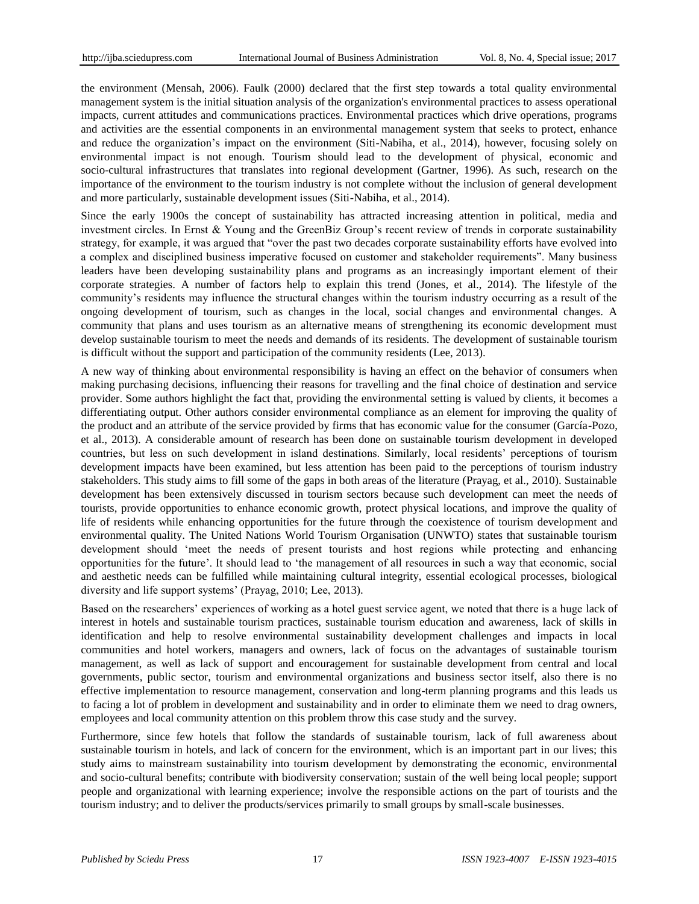the environment (Mensah, 2006). Faulk (2000) declared that the first step towards a total quality environmental management system is the initial situation analysis of the organization's environmental practices to assess operational impacts, current attitudes and communications practices. Environmental practices which drive operations, programs and activities are the essential components in an environmental management system that seeks to protect, enhance and reduce the organization's impact on the environment (Siti-Nabiha, et al., 2014), however, focusing solely on environmental impact is not enough. Tourism should lead to the development of physical, economic and socio-cultural infrastructures that translates into regional development (Gartner, 1996). As such, research on the importance of the environment to the tourism industry is not complete without the inclusion of general development and more particularly, sustainable development issues (Siti-Nabiha, et al., 2014).

Since the early 1900s the concept of sustainability has attracted increasing attention in political, media and investment circles. In Ernst & Young and the GreenBiz Group's recent review of trends in corporate sustainability strategy, for example, it was argued that "over the past two decades corporate sustainability efforts have evolved into a complex and disciplined business imperative focused on customer and stakeholder requirements". Many business leaders have been developing sustainability plans and programs as an increasingly important element of their corporate strategies. A number of factors help to explain this trend (Jones, et al., 2014). The lifestyle of the community"s residents may influence the structural changes within the tourism industry occurring as a result of the ongoing development of tourism, such as changes in the local, social changes and environmental changes. A community that plans and uses tourism as an alternative means of strengthening its economic development must develop sustainable tourism to meet the needs and demands of its residents. The development of sustainable tourism is difficult without the support and participation of the community residents (Lee, 2013).

A new way of thinking about environmental responsibility is having an effect on the behavior of consumers when making purchasing decisions, influencing their reasons for travelling and the final choice of destination and service provider. Some authors highlight the fact that, providing the environmental setting is valued by clients, it becomes a differentiating output. Other authors consider environmental compliance as an element for improving the quality of the product and an attribute of the service provided by firms that has economic value for the consumer (García-Pozo, et al., 2013). A considerable amount of research has been done on sustainable tourism development in developed countries, but less on such development in island destinations. Similarly, local residents" perceptions of tourism development impacts have been examined, but less attention has been paid to the perceptions of tourism industry stakeholders. This study aims to fill some of the gaps in both areas of the literature (Prayag, et al., 2010). Sustainable development has been extensively discussed in tourism sectors because such development can meet the needs of tourists, provide opportunities to enhance economic growth, protect physical locations, and improve the quality of life of residents while enhancing opportunities for the future through the coexistence of tourism development and environmental quality. The United Nations World Tourism Organisation (UNWTO) states that sustainable tourism development should "meet the needs of present tourists and host regions while protecting and enhancing opportunities for the future". It should lead to "the management of all resources in such a way that economic, social and aesthetic needs can be fulfilled while maintaining cultural integrity, essential ecological processes, biological diversity and life support systems" (Prayag, 2010; Lee, 2013).

Based on the researchers" experiences of working as a hotel guest service agent, we noted that there is a huge lack of interest in hotels and sustainable tourism practices, sustainable tourism education and awareness, lack of skills in identification and help to resolve environmental sustainability development challenges and impacts in local communities and hotel workers, managers and owners, lack of focus on the advantages of sustainable tourism management, as well as lack of support and encouragement for sustainable development from central and local governments, public sector, tourism and environmental organizations and business sector itself, also there is no effective implementation to resource management, conservation and long-term planning programs and this leads us to facing a lot of problem in development and sustainability and in order to eliminate them we need to drag owners, employees and local community attention on this problem throw this case study and the survey.

Furthermore, since few hotels that follow the standards of sustainable tourism, lack of full awareness about sustainable tourism in hotels, and lack of concern for the environment, which is an important part in our lives; this study aims to mainstream sustainability into tourism development by demonstrating the economic, environmental and socio-cultural benefits; contribute with biodiversity conservation; sustain of the well being local people; support people and organizational with learning experience; involve the responsible actions on the part of tourists and the tourism industry; and to deliver the products/services primarily to small groups by small-scale businesses.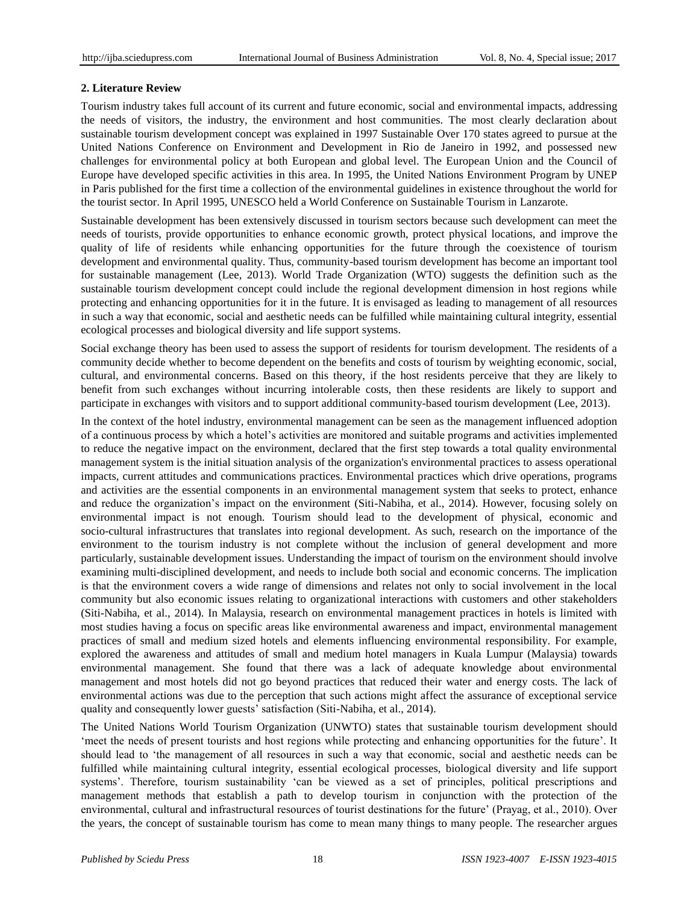# **2. Literature Review**

Tourism industry takes full account of its current and future economic, social and environmental impacts, addressing the needs of visitors, the industry, the environment and host communities. The most clearly declaration about sustainable tourism development concept was explained in 1997 Sustainable Over 170 states agreed to pursue at the United Nations Conference on Environment and Development in Rio de Janeiro in 1992, and possessed new challenges for environmental policy at both European and global level. The European Union and the Council of Europe have developed specific activities in this area. In 1995, the United Nations Environment Program by UNEP in Paris published for the first time a collection of the environmental guidelines in existence throughout the world for the tourist sector. In April 1995, UNESCO held a World Conference on Sustainable Tourism in Lanzarote.

Sustainable development has been extensively discussed in tourism sectors because such development can meet the needs of tourists, provide opportunities to enhance economic growth, protect physical locations, and improve the quality of life of residents while enhancing opportunities for the future through the coexistence of tourism development and environmental quality. Thus, community-based tourism development has become an important tool for sustainable management (Lee, 2013). World Trade Organization (WTO) suggests the definition such as the sustainable tourism development concept could include the regional development dimension in host regions while protecting and enhancing opportunities for it in the future. It is envisaged as leading to management of all resources in such a way that economic, social and aesthetic needs can be fulfilled while maintaining cultural integrity, essential ecological processes and biological diversity and life support systems.

Social exchange theory has been used to assess the support of residents for tourism development. The residents of a community decide whether to become dependent on the benefits and costs of tourism by weighting economic, social, cultural, and environmental concerns. Based on this theory, if the host residents perceive that they are likely to benefit from such exchanges without incurring intolerable costs, then these residents are likely to support and participate in exchanges with visitors and to support additional community-based tourism development (Lee, 2013).

In the context of the hotel industry, environmental management can be seen as the management influenced adoption of a continuous process by which a hotel"s activities are monitored and suitable programs and activities implemented to reduce the negative impact on the environment, declared that the first step towards a total quality environmental management system is the initial situation analysis of the organization's environmental practices to assess operational impacts, current attitudes and communications practices. Environmental practices which drive operations, programs and activities are the essential components in an environmental management system that seeks to protect, enhance and reduce the organization"s impact on the environment (Siti-Nabiha, et al., 2014). However, focusing solely on environmental impact is not enough. Tourism should lead to the development of physical, economic and socio-cultural infrastructures that translates into regional development. As such, research on the importance of the environment to the tourism industry is not complete without the inclusion of general development and more particularly, sustainable development issues. Understanding the impact of tourism on the environment should involve examining multi-disciplined development, and needs to include both social and economic concerns. The implication is that the environment covers a wide range of dimensions and relates not only to social involvement in the local community but also economic issues relating to organizational interactions with customers and other stakeholders (Siti-Nabiha, et al., 2014). In Malaysia, research on environmental management practices in hotels is limited with most studies having a focus on specific areas like environmental awareness and impact, environmental management practices of small and medium sized hotels and elements influencing environmental responsibility. For example, explored the awareness and attitudes of small and medium hotel managers in Kuala Lumpur (Malaysia) towards environmental management. She found that there was a lack of adequate knowledge about environmental management and most hotels did not go beyond practices that reduced their water and energy costs. The lack of environmental actions was due to the perception that such actions might affect the assurance of exceptional service quality and consequently lower guests' satisfaction (Siti-Nabiha, et al., 2014).

The United Nations World Tourism Organization (UNWTO) states that sustainable tourism development should "meet the needs of present tourists and host regions while protecting and enhancing opportunities for the future". It should lead to "the management of all resources in such a way that economic, social and aesthetic needs can be fulfilled while maintaining cultural integrity, essential ecological processes, biological diversity and life support systems'. Therefore, tourism sustainability 'can be viewed as a set of principles, political prescriptions and management methods that establish a path to develop tourism in conjunction with the protection of the environmental, cultural and infrastructural resources of tourist destinations for the future" (Prayag, et al., 2010). Over the years, the concept of sustainable tourism has come to mean many things to many people. The researcher argues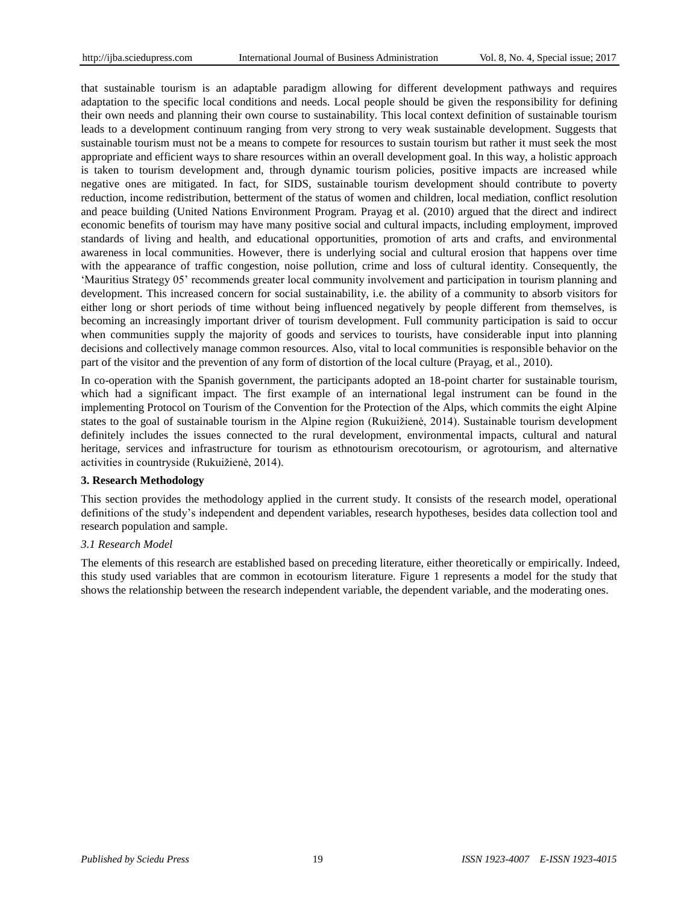that sustainable tourism is an adaptable paradigm allowing for different development pathways and requires adaptation to the specific local conditions and needs. Local people should be given the responsibility for defining their own needs and planning their own course to sustainability. This local context definition of sustainable tourism leads to a development continuum ranging from very strong to very weak sustainable development. Suggests that sustainable tourism must not be a means to compete for resources to sustain tourism but rather it must seek the most appropriate and efficient ways to share resources within an overall development goal. In this way, a holistic approach is taken to tourism development and, through dynamic tourism policies, positive impacts are increased while negative ones are mitigated. In fact, for SIDS, sustainable tourism development should contribute to poverty reduction, income redistribution, betterment of the status of women and children, local mediation, conflict resolution and peace building (United Nations Environment Program. Prayag et al. (2010) argued that the direct and indirect economic benefits of tourism may have many positive social and cultural impacts, including employment, improved standards of living and health, and educational opportunities, promotion of arts and crafts, and environmental awareness in local communities. However, there is underlying social and cultural erosion that happens over time with the appearance of traffic congestion, noise pollution, crime and loss of cultural identity. Consequently, the "Mauritius Strategy 05" recommends greater local community involvement and participation in tourism planning and development. This increased concern for social sustainability, i.e. the ability of a community to absorb visitors for either long or short periods of time without being influenced negatively by people different from themselves, is becoming an increasingly important driver of tourism development. Full community participation is said to occur when communities supply the majority of goods and services to tourists, have considerable input into planning decisions and collectively manage common resources. Also, vital to local communities is responsible behavior on the part of the visitor and the prevention of any form of distortion of the local culture (Prayag, et al., 2010).

In co-operation with the Spanish government, the participants adopted an 18-point charter for sustainable tourism, which had a significant impact. The first example of an international legal instrument can be found in the implementing Protocol on Tourism of the Convention for the Protection of the Alps, which commits the eight Alpine states to the goal of sustainable tourism in the Alpine region (Rukuižienė, 2014). Sustainable tourism development definitely includes the issues connected to the rural development, environmental impacts, cultural and natural heritage, services and infrastructure for tourism as ethnotourism orecotourism, or agrotourism, and alternative activities in countryside (Rukuižienė, 2014).

# **3. Research Methodology**

This section provides the methodology applied in the current study. It consists of the research model, operational definitions of the study"s independent and dependent variables, research hypotheses, besides data collection tool and research population and sample.

# *3.1 Research Model*

The elements of this research are established based on preceding literature, either theoretically or empirically. Indeed, this study used variables that are common in ecotourism literature. Figure 1 represents a model for the study that shows the relationship between the research independent variable, the dependent variable, and the moderating ones.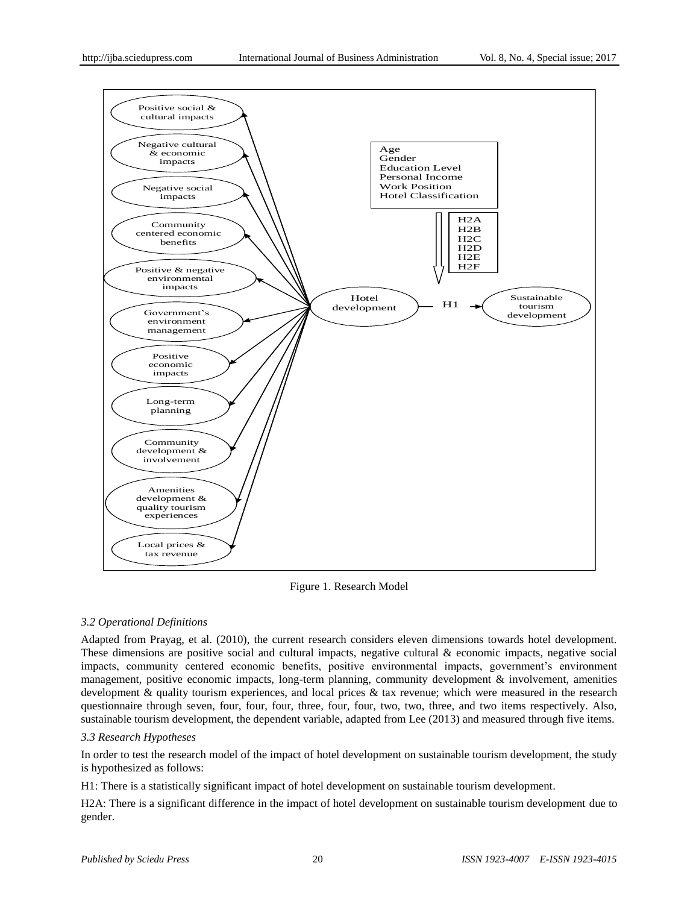

Figure 1. Research Model

# *3.2 Operational Definitions*

Adapted from Prayag, et al. (2010), the current research considers eleven dimensions towards hotel development. These dimensions are positive social and cultural impacts, negative cultural & economic impacts, negative social impacts, community centered economic benefits, positive environmental impacts, government's environment management, positive economic impacts, long-term planning, community development & involvement, amenities development & quality tourism experiences, and local prices & tax revenue; which were measured in the research questionnaire through seven, four, four, four, three, four, four, two, two, three, and two items respectively. Also, sustainable tourism development, the dependent variable, adapted from Lee (2013) and measured through five items.

# *3.3 Research Hypotheses*

In order to test the research model of the impact of hotel development on sustainable tourism development, the study is hypothesized as follows:

H1: There is a statistically significant impact of hotel development on sustainable tourism development.

H2A: There is a significant difference in the impact of hotel development on sustainable tourism development due to gender.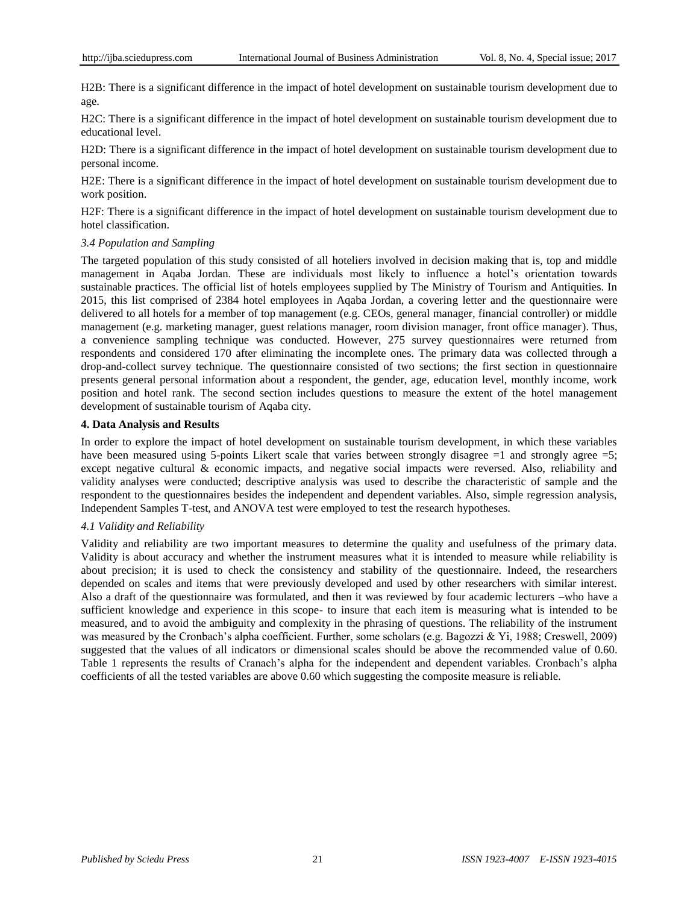H2B: There is a significant difference in the impact of hotel development on sustainable tourism development due to age.

H2C: There is a significant difference in the impact of hotel development on sustainable tourism development due to educational level.

H2D: There is a significant difference in the impact of hotel development on sustainable tourism development due to personal income.

H2E: There is a significant difference in the impact of hotel development on sustainable tourism development due to work position.

H2F: There is a significant difference in the impact of hotel development on sustainable tourism development due to hotel classification.

#### *3.4 Population and Sampling*

The targeted population of this study consisted of all hoteliers involved in decision making that is, top and middle management in Aqaba Jordan. These are individuals most likely to influence a hotel"s orientation towards sustainable practices. The official list of hotels employees supplied by The Ministry of Tourism and Antiquities. In 2015, this list comprised of 2384 hotel employees in Aqaba Jordan, a covering letter and the questionnaire were delivered to all hotels for a member of top management (e.g. CEOs, general manager, financial controller) or middle management (e.g. marketing manager, guest relations manager, room division manager, front office manager). Thus, a convenience sampling technique was conducted. However, 275 survey questionnaires were returned from respondents and considered 170 after eliminating the incomplete ones. The primary data was collected through a drop-and-collect survey technique. The questionnaire consisted of two sections; the first section in questionnaire presents general personal information about a respondent, the gender, age, education level, monthly income, work position and hotel rank. The second section includes questions to measure the extent of the hotel management development of sustainable tourism of Aqaba city.

#### **4. Data Analysis and Results**

In order to explore the impact of hotel development on sustainable tourism development, in which these variables have been measured using 5-points Likert scale that varies between strongly disagree =1 and strongly agree =5; except negative cultural & economic impacts, and negative social impacts were reversed. Also, reliability and validity analyses were conducted; descriptive analysis was used to describe the characteristic of sample and the respondent to the questionnaires besides the independent and dependent variables. Also, simple regression analysis, Independent Samples T-test, and ANOVA test were employed to test the research hypotheses.

# *4.1 Validity and Reliability*

Validity and reliability are two important measures to determine the quality and usefulness of the primary data. Validity is about accuracy and whether the instrument measures what it is intended to measure while reliability is about precision; it is used to check the consistency and stability of the questionnaire. Indeed, the researchers depended on scales and items that were previously developed and used by other researchers with similar interest. Also a draft of the questionnaire was formulated, and then it was reviewed by four academic lecturers –who have a sufficient knowledge and experience in this scope- to insure that each item is measuring what is intended to be measured, and to avoid the ambiguity and complexity in the phrasing of questions. The reliability of the instrument was measured by the Cronbach's alpha coefficient. Further, some scholars (e.g. Bagozzi & Yi, 1988; Creswell, 2009) suggested that the values of all indicators or dimensional scales should be above the recommended value of 0.60. Table 1 represents the results of Cranach"s alpha for the independent and dependent variables. Cronbach"s alpha coefficients of all the tested variables are above 0.60 which suggesting the composite measure is reliable.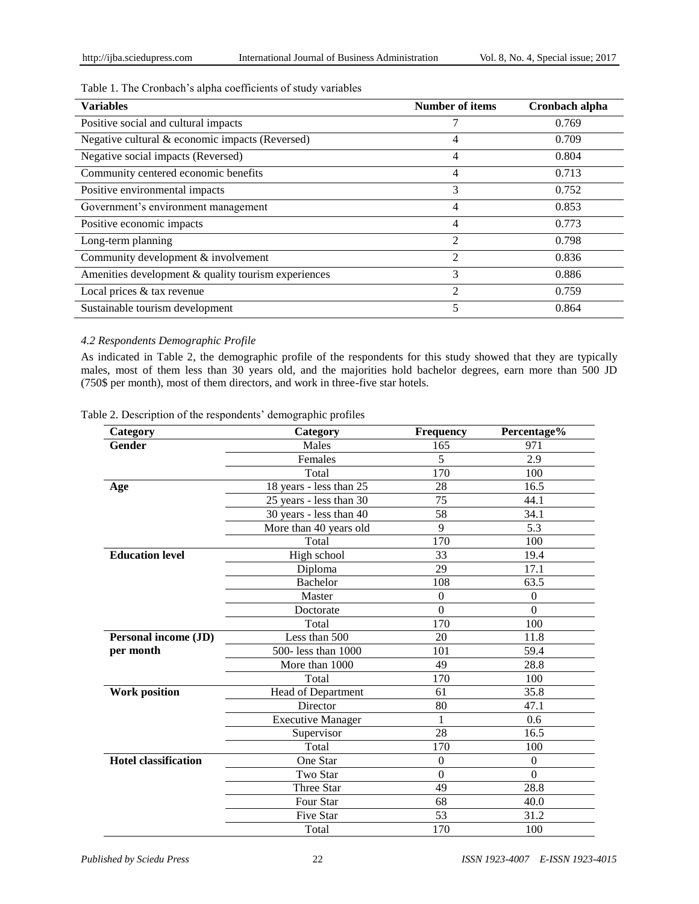Table 1. The Cronbach"s alpha coefficients of study variables

| <b>Variables</b>                                    | <b>Number of items</b> | Cronbach alpha |
|-----------------------------------------------------|------------------------|----------------|
| Positive social and cultural impacts                |                        | 0.769          |
| Negative cultural & economic impacts (Reversed)     | 4                      | 0.709          |
| Negative social impacts (Reversed)                  | 4                      | 0.804          |
| Community centered economic benefits                | 4                      | 0.713          |
| Positive environmental impacts                      | 3                      | 0.752          |
| Government's environment management                 | 4                      | 0.853          |
| Positive economic impacts                           | 4                      | 0.773          |
| Long-term planning                                  | $\mathfrak{D}$         | 0.798          |
| Community development & involvement                 | $\mathfrak{D}$         | 0.836          |
| Amenities development & quality tourism experiences | 3                      | 0.886          |
| Local prices & tax revenue                          | $\mathfrak{D}$         | 0.759          |
| Sustainable tourism development                     | 5                      | 0.864          |

# *4.2 Respondents Demographic Profile*

As indicated in Table 2, the demographic profile of the respondents for this study showed that they are typically males, most of them less than 30 years old, and the majorities hold bachelor degrees, earn more than 500 JD (750\$ per month), most of them directors, and work in three-five star hotels.

Table 2. Description of the respondents' demographic profiles

| Category                    | Category                  | <b>Frequency</b> | Percentage%    |
|-----------------------------|---------------------------|------------------|----------------|
| <b>Gender</b>               | Males                     | 165              | 971            |
|                             | Females                   | 5                | 2.9            |
|                             | Total                     | 170              | 100            |
| Age                         | 18 years - less than 25   | 28               | 16.5           |
|                             | 25 years - less than 30   | 75               | 44.1           |
|                             | 30 years - less than 40   | 58               | 34.1           |
|                             | More than 40 years old    | 9                | 5.3            |
|                             | Total                     | 170              | 100            |
| <b>Education level</b>      | High school               | 33               | 19.4           |
|                             | Diploma                   | 29               | 17.1           |
|                             | Bachelor                  | 108              | 63.5           |
|                             | Master                    | $\overline{0}$   | $\mathbf{0}$   |
|                             | Doctorate                 | $\mathbf{0}$     | $\overline{0}$ |
|                             | Total                     | 170              | 100            |
| Personal income (JD)        | Less than 500             | 20               | 11.8           |
| per month                   | 500- less than 1000       | 101              | 59.4           |
|                             | More than 1000            | 49               | 28.8           |
|                             | Total                     | 170              | 100            |
| <b>Work position</b>        | <b>Head of Department</b> | 61               | 35.8           |
|                             | Director                  | 80               | 47.1           |
|                             | <b>Executive Manager</b>  | 1                | 0.6            |
|                             | Supervisor                | 28               | 16.5           |
|                             | Total                     | 170              | 100            |
| <b>Hotel classification</b> | One Star                  | $\Omega$         | $\Omega$       |
|                             | Two Star                  | $\Omega$         | $\Omega$       |
|                             | Three Star                | 49               | 28.8           |
|                             | Four Star                 | 68               | 40.0           |
|                             | Five Star                 | 53               | 31.2           |
|                             | Total                     | 170              | 100            |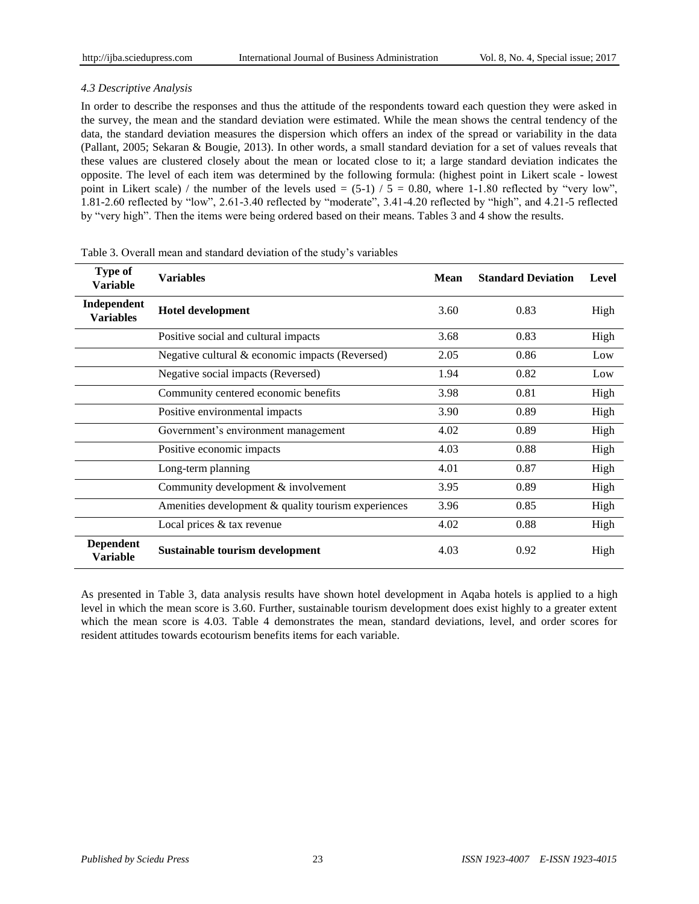# *4.3 Descriptive Analysis*

In order to describe the responses and thus the attitude of the respondents toward each question they were asked in the survey, the mean and the standard deviation were estimated. While the mean shows the central tendency of the data, the standard deviation measures the dispersion which offers an index of the spread or variability in the data (Pallant, 2005; Sekaran & Bougie, 2013). In other words, a small standard deviation for a set of values reveals that these values are clustered closely about the mean or located close to it; a large standard deviation indicates the opposite. The level of each item was determined by the following formula: (highest point in Likert scale - lowest point in Likert scale) / the number of the levels used  $= (5-1) / 5 = 0.80$ , where 1-1.80 reflected by "very low", 1.81-2.60 reflected by "low", 2.61-3.40 reflected by "moderate", 3.41-4.20 reflected by "high", and 4.21-5 reflected by "very high". Then the items were being ordered based on their means. Tables 3 and 4 show the results.

| Type of<br><b>Variable</b>          | <b>Variables</b>                                    | <b>Mean</b> | <b>Standard Deviation</b> | <b>Level</b> |
|-------------------------------------|-----------------------------------------------------|-------------|---------------------------|--------------|
| Independent<br><b>Variables</b>     | <b>Hotel development</b>                            | 3.60        | 0.83                      | High         |
|                                     | Positive social and cultural impacts                | 3.68        | 0.83                      | High         |
|                                     | Negative cultural & economic impacts (Reversed)     | 2.05        | 0.86                      | Low          |
|                                     | Negative social impacts (Reversed)                  | 1.94        | 0.82                      | Low          |
|                                     | Community centered economic benefits                | 3.98        | 0.81                      | High         |
|                                     | Positive environmental impacts                      | 3.90        | 0.89                      | High         |
|                                     | Government's environment management                 | 4.02        | 0.89                      | High         |
|                                     | Positive economic impacts                           | 4.03        | 0.88                      | High         |
|                                     | Long-term planning                                  | 4.01        | 0.87                      | High         |
|                                     | Community development & involvement                 | 3.95        | 0.89                      | High         |
|                                     | Amenities development & quality tourism experiences | 3.96        | 0.85                      | High         |
|                                     | Local prices & tax revenue                          | 4.02        | 0.88                      | High         |
| <b>Dependent</b><br><b>Variable</b> | Sustainable tourism development                     | 4.03        | 0.92                      | High         |

Table 3. Overall mean and standard deviation of the study"s variables

As presented in Table 3, data analysis results have shown hotel development in Aqaba hotels is applied to a high level in which the mean score is 3.60. Further, sustainable tourism development does exist highly to a greater extent which the mean score is 4.03. Table 4 demonstrates the mean, standard deviations, level, and order scores for resident attitudes towards ecotourism benefits items for each variable.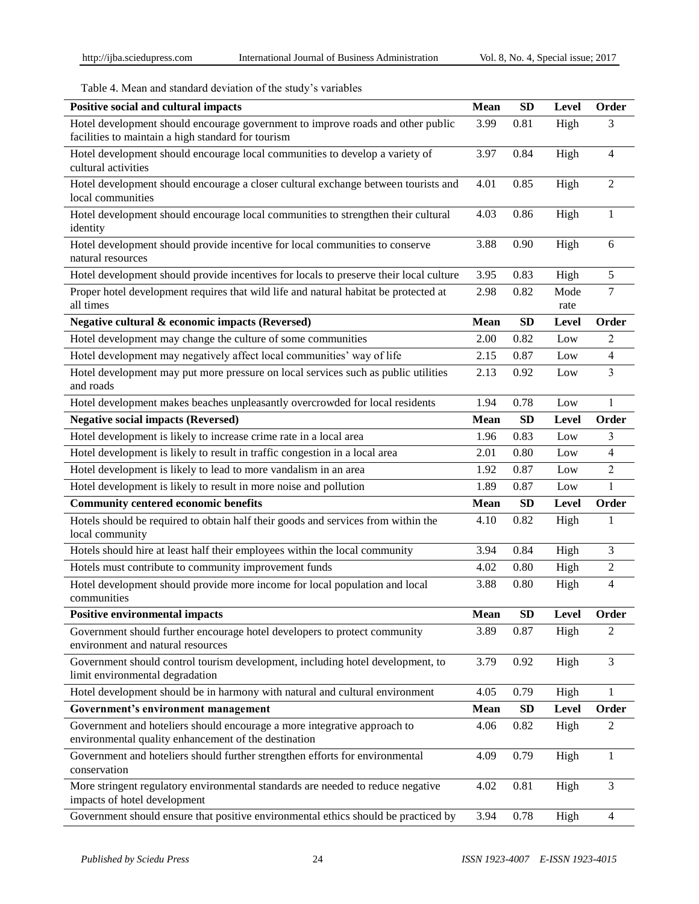Table 4. Mean and standard deviation of the study"s variables

| <b>Positive social and cultural impacts</b>                                                                                           | Mean        | <b>SD</b> | Level        | Order          |
|---------------------------------------------------------------------------------------------------------------------------------------|-------------|-----------|--------------|----------------|
| Hotel development should encourage government to improve roads and other public<br>facilities to maintain a high standard for tourism | 3.99        | 0.81      | High         | 3              |
| Hotel development should encourage local communities to develop a variety of<br>cultural activities                                   | 3.97        | 0.84      | High         | 4              |
| Hotel development should encourage a closer cultural exchange between tourists and<br>local communities                               | 4.01        | 0.85      | High         | $\overline{2}$ |
| Hotel development should encourage local communities to strengthen their cultural<br>identity                                         | 4.03        | 0.86      | High         | $\mathbf{1}$   |
| Hotel development should provide incentive for local communities to conserve<br>natural resources                                     | 3.88        | 0.90      | High         | 6              |
| Hotel development should provide incentives for locals to preserve their local culture                                                | 3.95        | 0.83      | High         | 5              |
| Proper hotel development requires that wild life and natural habitat be protected at<br>all times                                     | 2.98        | 0.82      | Mode<br>rate | $\overline{7}$ |
| Negative cultural & economic impacts (Reversed)                                                                                       | <b>Mean</b> | <b>SD</b> | Level        | Order          |
| Hotel development may change the culture of some communities                                                                          | 2.00        | 0.82      | Low          | 2              |
| Hotel development may negatively affect local communities' way of life                                                                | 2.15        | 0.87      | Low          | 4              |
| Hotel development may put more pressure on local services such as public utilities<br>and roads                                       | 2.13        | 0.92      | Low          | 3              |
| Hotel development makes beaches unpleasantly overcrowded for local residents                                                          | 1.94        | 0.78      | Low          | 1              |
| <b>Negative social impacts (Reversed)</b>                                                                                             | <b>Mean</b> | <b>SD</b> | <b>Level</b> | Order          |
| Hotel development is likely to increase crime rate in a local area                                                                    | 1.96        | 0.83      | Low          | 3              |
| Hotel development is likely to result in traffic congestion in a local area                                                           | 2.01        | 0.80      | Low          | 4              |
| Hotel development is likely to lead to more vandalism in an area                                                                      | 1.92        | 0.87      | Low          | $\overline{c}$ |
| Hotel development is likely to result in more noise and pollution                                                                     | 1.89        | 0.87      | Low          | 1              |
| <b>Community centered economic benefits</b>                                                                                           | Mean        | <b>SD</b> | <b>Level</b> | Order          |
| Hotels should be required to obtain half their goods and services from within the<br>local community                                  | 4.10        | 0.82      | High         | $\mathbf{1}$   |
| Hotels should hire at least half their employees within the local community                                                           | 3.94        | 0.84      | High         | 3              |
| Hotels must contribute to community improvement funds                                                                                 | 4.02        | 0.80      | High         | 2              |
| Hotel development should provide more income for local population and local<br>communities                                            | 3.88        | 0.80      | High         | 4              |
| <b>Positive environmental impacts</b>                                                                                                 | Mean        | <b>SD</b> | Level        | Order          |
| Government should further encourage hotel developers to protect community<br>environment and natural resources                        | 3.89        | 0.87      | High         | 2              |
| Government should control tourism development, including hotel development, to<br>limit environmental degradation                     | 3.79        | 0.92      | High         | 3              |
| Hotel development should be in harmony with natural and cultural environment                                                          | 4.05        | 0.79      | High         | 1              |
| Government's environment management                                                                                                   | <b>Mean</b> | <b>SD</b> | Level        | Order          |
| Government and hoteliers should encourage a more integrative approach to<br>environmental quality enhancement of the destination      | 4.06        | 0.82      | High         | 2              |
| Government and hoteliers should further strengthen efforts for environmental<br>conservation                                          | 4.09        | 0.79      | High         | $\mathbf{1}$   |
| More stringent regulatory environmental standards are needed to reduce negative<br>impacts of hotel development                       | 4.02        | 0.81      | High         | 3              |
| Government should ensure that positive environmental ethics should be practiced by                                                    | 3.94        | 0.78      | High         | $\overline{4}$ |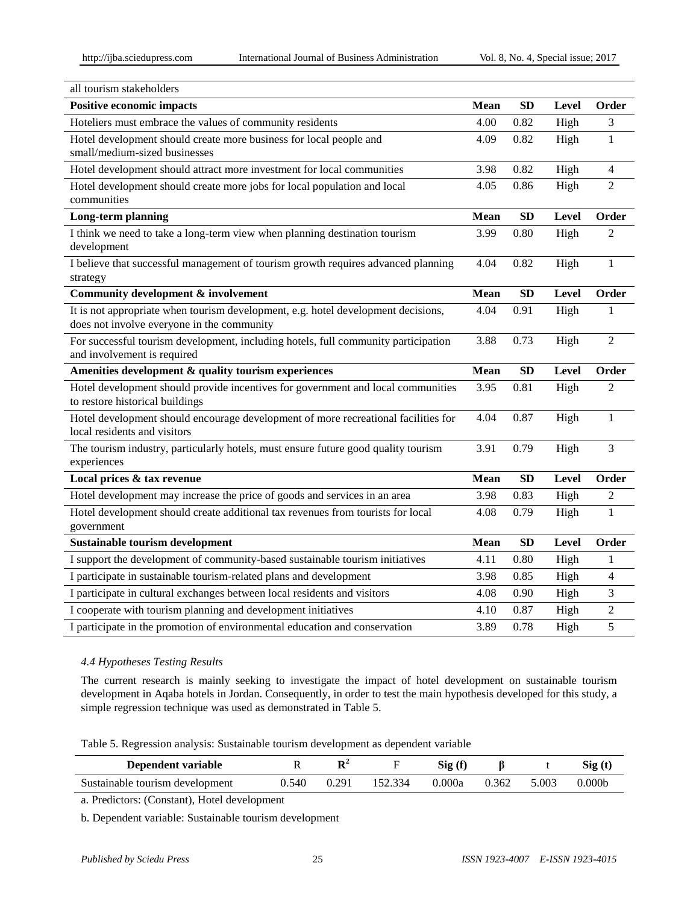| all tourism stakeholders                                                                                                        |             |            |              |                |
|---------------------------------------------------------------------------------------------------------------------------------|-------------|------------|--------------|----------------|
| <b>Positive economic impacts</b>                                                                                                | Mean        | <b>SD</b>  | <b>Level</b> | Order          |
| Hoteliers must embrace the values of community residents                                                                        | 4.00        | 0.82       | High         | 3              |
| Hotel development should create more business for local people and<br>small/medium-sized businesses                             | 4.09        | 0.82       | High         | $\mathbf{1}$   |
| Hotel development should attract more investment for local communities                                                          | 3.98        | 0.82       | High         | 4              |
| Hotel development should create more jobs for local population and local<br>communities                                         | 4.05        | 0.86       | High         | $\overline{2}$ |
| Long-term planning                                                                                                              | <b>Mean</b> | ${\bf SD}$ | Level        | Order          |
| I think we need to take a long-term view when planning destination tourism<br>development                                       | 3.99        | 0.80       | High         | $\overline{2}$ |
| I believe that successful management of tourism growth requires advanced planning<br>strategy                                   | 4.04        | 0.82       | High         | $\mathbf{1}$   |
| Community development & involvement                                                                                             | <b>Mean</b> | SD         | Level        | Order          |
| It is not appropriate when tourism development, e.g. hotel development decisions,<br>does not involve everyone in the community | 4.04        | 0.91       | High         | 1              |
| For successful tourism development, including hotels, full community participation<br>and involvement is required               | 3.88        | 0.73       | High         | $\overline{2}$ |
|                                                                                                                                 |             |            |              |                |
| Amenities development & quality tourism experiences                                                                             | <b>Mean</b> | <b>SD</b>  | Level        | Order          |
| Hotel development should provide incentives for government and local communities<br>to restore historical buildings             | 3.95        | 0.81       | High         | $\overline{2}$ |
| Hotel development should encourage development of more recreational facilities for<br>local residents and visitors              | 4.04        | 0.87       | High         | $\mathbf{1}$   |
| The tourism industry, particularly hotels, must ensure future good quality tourism<br>experiences                               | 3.91        | 0.79       | High         | 3              |
| Local prices & tax revenue                                                                                                      | <b>Mean</b> | <b>SD</b>  | Level        | Order          |
| Hotel development may increase the price of goods and services in an area                                                       | 3.98        | 0.83       | High         | $\overline{2}$ |
| Hotel development should create additional tax revenues from tourists for local<br>government                                   | 4.08        | 0.79       | High         | $\mathbf{1}$   |
| <b>Sustainable tourism development</b>                                                                                          | <b>Mean</b> | <b>SD</b>  | Level        | Order          |
| I support the development of community-based sustainable tourism initiatives                                                    | 4.11        | 0.80       | High         | 1              |
| I participate in sustainable tourism-related plans and development                                                              | 3.98        | 0.85       | High         | $\overline{4}$ |
| I participate in cultural exchanges between local residents and visitors                                                        | 4.08        | 0.90       | High         | 3              |
| I cooperate with tourism planning and development initiatives                                                                   | 4.10        | 0.87       | High         | $\overline{2}$ |

#### *4.4 Hypotheses Testing Results*

The current research is mainly seeking to investigate the impact of hotel development on sustainable tourism development in Aqaba hotels in Jordan. Consequently, in order to test the main hypothesis developed for this study, a simple regression technique was used as demonstrated in Table 5.

Table 5. Regression analysis: Sustainable tourism development as dependent variable

| Dependent variable              |       | D4    |         | $\mathrm{Sig}(f)$ |       |       | Sig (t             |
|---------------------------------|-------|-------|---------|-------------------|-------|-------|--------------------|
| Sustainable tourism development | 0.540 | 0.291 | 152.334 | 0.000a            | 0.362 | 5.003 | 0.000 <sub>b</sub> |

a. Predictors: (Constant), Hotel development

b. Dependent variable: Sustainable tourism development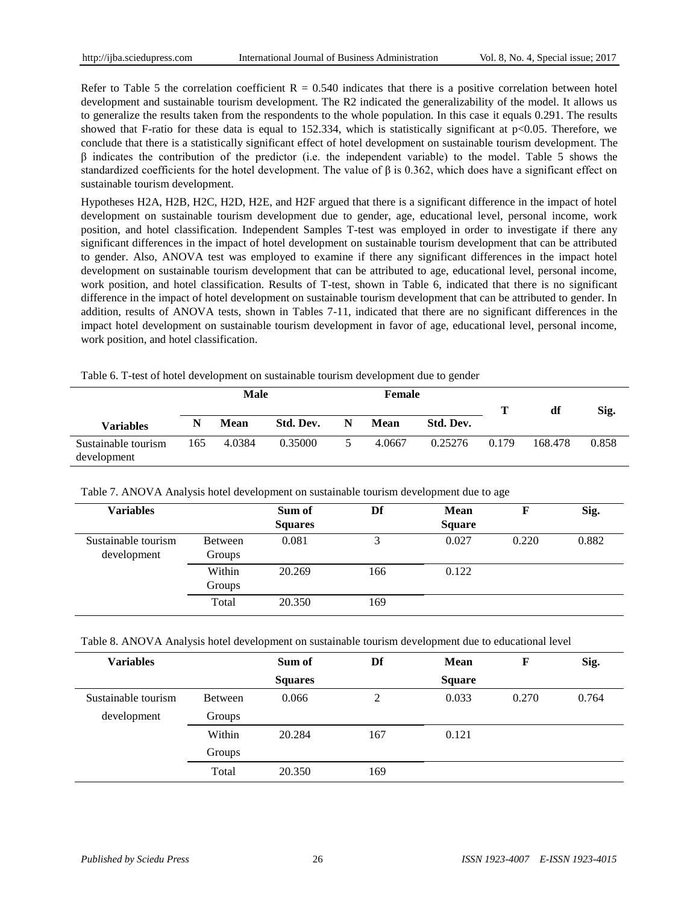Refer to Table 5 the correlation coefficient  $R = 0.540$  indicates that there is a positive correlation between hotel development and sustainable tourism development. The R2 indicated the generalizability of the model. It allows us to generalize the results taken from the respondents to the whole population. In this case it equals 0.291. The results showed that F-ratio for these data is equal to 152.334, which is statistically significant at  $p<0.05$ . Therefore, we conclude that there is a statistically significant effect of hotel development on sustainable tourism development. The β indicates the contribution of the predictor (i.e. the independent variable) to the model. Table 5 shows the standardized coefficients for the hotel development. The value of  $\beta$  is 0.362, which does have a significant effect on sustainable tourism development.

Hypotheses H2A, H2B, H2C, H2D, H2E, and H2F argued that there is a significant difference in the impact of hotel development on sustainable tourism development due to gender, age, educational level, personal income, work position, and hotel classification. Independent Samples T-test was employed in order to investigate if there any significant differences in the impact of hotel development on sustainable tourism development that can be attributed to gender. Also, ANOVA test was employed to examine if there any significant differences in the impact hotel development on sustainable tourism development that can be attributed to age, educational level, personal income, work position, and hotel classification. Results of T-test, shown in Table 6, indicated that there is no significant difference in the impact of hotel development on sustainable tourism development that can be attributed to gender. In addition, results of ANOVA tests, shown in Tables 7-11, indicated that there are no significant differences in the impact hotel development on sustainable tourism development in favor of age, educational level, personal income, work position, and hotel classification.

|                                    | <b>Male</b><br>Female |             |           |               |             |           |       |         |       |
|------------------------------------|-----------------------|-------------|-----------|---------------|-------------|-----------|-------|---------|-------|
| <b>Variables</b>                   | N                     | <b>Mean</b> | Std. Dev. | N             | <b>Mean</b> | Std. Dev. | т     | df      | Sig.  |
| Sustainable tourism<br>development | 165                   | 4.0384      | 0.35000   | $\mathcal{L}$ | 4.0667      | 0.25276   | 0.179 | 168.478 | 0.858 |

Table 6. T-test of hotel development on sustainable tourism development due to gender

| Table 7. ANOVA Analysis hotel development on sustainable tourism development due to age |  |  |  |
|-----------------------------------------------------------------------------------------|--|--|--|
|                                                                                         |  |  |  |

| <b>Variables</b>                   |                          | Sum of<br><b>Squares</b> | Df  | <b>Mean</b><br><b>Square</b> |       | Sig.  |
|------------------------------------|--------------------------|--------------------------|-----|------------------------------|-------|-------|
| Sustainable tourism<br>development | <b>Between</b><br>Groups | 0.081                    |     | 0.027                        | 0.220 | 0.882 |
|                                    | Within<br>Groups         | 20.269                   | 166 | 0.122                        |       |       |
|                                    | Total                    | 20.350                   | 169 |                              |       |       |

| Table 8. ANOVA Analysis hotel development on sustainable tourism development due to educational level |  |  |
|-------------------------------------------------------------------------------------------------------|--|--|
|                                                                                                       |  |  |

| <b>Variables</b>    |                | Sum of         | Df  | <b>Mean</b>   | F     | Sig.  |
|---------------------|----------------|----------------|-----|---------------|-------|-------|
|                     |                | <b>Squares</b> |     | <b>Square</b> |       |       |
| Sustainable tourism | <b>Between</b> | 0.066          | 2   | 0.033         | 0.270 | 0.764 |
| development         | Groups         |                |     |               |       |       |
|                     | Within         | 20.284         | 167 | 0.121         |       |       |
|                     | Groups         |                |     |               |       |       |
|                     | Total          | 20.350         | 169 |               |       |       |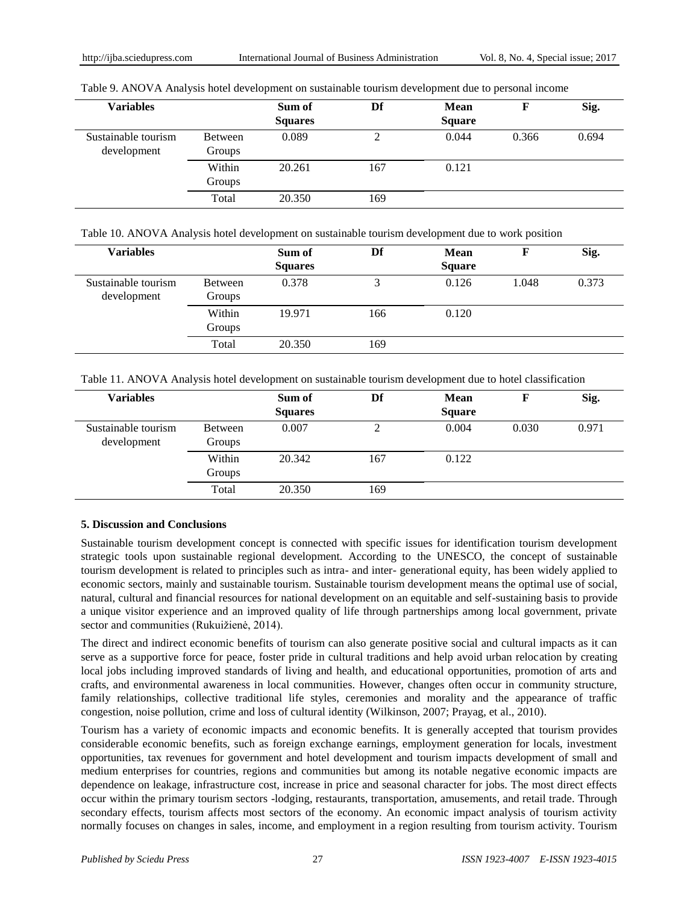| <b>Variables</b>                   |                   | Sum of<br><b>Squares</b> | Df  | <b>Mean</b><br><b>Square</b> |       | Sig.  |
|------------------------------------|-------------------|--------------------------|-----|------------------------------|-------|-------|
| Sustainable tourism<br>development | Between<br>Groups | 0.089                    |     | 0.044                        | 0.366 | 0.694 |
|                                    | Within<br>Groups  | 20.261                   | 167 | 0.121                        |       |       |
|                                    | Total             | 20.350                   | 169 |                              |       |       |

|  |  | Table 9. ANOVA Analysis hotel development on sustainable tourism development due to personal income |  |  |
|--|--|-----------------------------------------------------------------------------------------------------|--|--|
|  |  |                                                                                                     |  |  |

|  |  | Table 10. ANOVA Analysis hotel development on sustainable tourism development due to work position |  |
|--|--|----------------------------------------------------------------------------------------------------|--|
|  |  |                                                                                                    |  |

| <b>Variables</b>                   |                          | Sum of         | Df  | <b>Mean</b>   | F     | Sig.  |
|------------------------------------|--------------------------|----------------|-----|---------------|-------|-------|
|                                    |                          | <b>Squares</b> |     | <b>Square</b> |       |       |
| Sustainable tourism<br>development | <b>Between</b><br>Groups | 0.378          |     | 0.126         | 1.048 | 0.373 |
|                                    | Within<br>Groups         | 19.971         | 166 | 0.120         |       |       |
|                                    | Total                    | 20.350         | 169 |               |       |       |

Table 11. ANOVA Analysis hotel development on sustainable tourism development due to hotel classification

| <b>Variables</b>                   |                   | Sum of         | Df  | <b>Mean</b>   | F     | Sig.  |
|------------------------------------|-------------------|----------------|-----|---------------|-------|-------|
|                                    |                   | <b>Squares</b> |     | <b>Square</b> |       |       |
| Sustainable tourism<br>development | Between<br>Groups | 0.007          |     | 0.004         | 0.030 | 0.971 |
|                                    | Within<br>Groups  | 20.342         | 167 | 0.122         |       |       |
|                                    | Total             | 20.350         | 169 |               |       |       |

# **5. Discussion and Conclusions**

Sustainable tourism development concept is connected with specific issues for identification tourism development strategic tools upon sustainable regional development. According to the UNESCO, the concept of sustainable tourism development is related to principles such as intra- and inter- generational equity, has been widely applied to economic sectors, mainly and sustainable tourism. Sustainable tourism development means the optimal use of social, natural, cultural and financial resources for national development on an equitable and self-sustaining basis to provide a unique visitor experience and an improved quality of life through partnerships among local government, private sector and communities (Rukuižienė, 2014).

The direct and indirect economic benefits of tourism can also generate positive social and cultural impacts as it can serve as a supportive force for peace, foster pride in cultural traditions and help avoid urban relocation by creating local jobs including improved standards of living and health, and educational opportunities, promotion of arts and crafts, and environmental awareness in local communities. However, changes often occur in community structure, family relationships, collective traditional life styles, ceremonies and morality and the appearance of traffic congestion, noise pollution, crime and loss of cultural identity (Wilkinson, 2007; Prayag, et al., 2010).

Tourism has a variety of economic impacts and economic benefits. It is generally accepted that tourism provides considerable economic benefits, such as foreign exchange earnings, employment generation for locals, investment opportunities, tax revenues for government and hotel development and tourism impacts development of small and medium enterprises for countries, regions and communities but among its notable negative economic impacts are dependence on leakage, infrastructure cost, increase in price and seasonal character for jobs. The most direct effects occur within the primary tourism sectors -lodging, restaurants, transportation, amusements, and retail trade. Through secondary effects, tourism affects most sectors of the economy. An economic impact analysis of tourism activity normally focuses on changes in sales, income, and employment in a region resulting from tourism activity. Tourism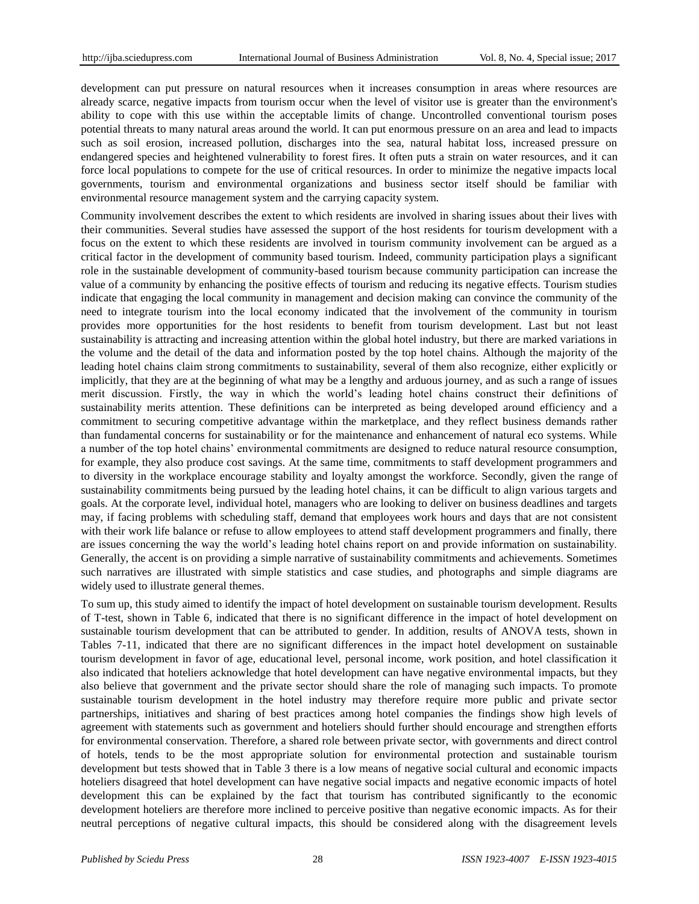development can put pressure on natural resources when it increases consumption in areas where resources are already scarce, negative impacts from tourism occur when the level of visitor use is greater than the environment's ability to cope with this use within the acceptable limits of change. Uncontrolled conventional tourism poses potential threats to many natural areas around the world. It can put enormous pressure on an area and lead to impacts such as soil erosion, increased pollution, discharges into the sea, natural habitat loss, increased pressure on endangered species and heightened vulnerability to forest fires. It often puts a strain on water resources, and it can force local populations to compete for the use of critical resources. In order to minimize the negative impacts local governments, tourism and environmental organizations and business sector itself should be familiar with environmental resource management system and the carrying capacity system.

Community involvement describes the extent to which residents are involved in sharing issues about their lives with their communities. Several studies have assessed the support of the host residents for tourism development with a focus on the extent to which these residents are involved in tourism community involvement can be argued as a critical factor in the development of community based tourism. Indeed, community participation plays a significant role in the sustainable development of community-based tourism because community participation can increase the value of a community by enhancing the positive effects of tourism and reducing its negative effects. Tourism studies indicate that engaging the local community in management and decision making can convince the community of the need to integrate tourism into the local economy indicated that the involvement of the community in tourism provides more opportunities for the host residents to benefit from tourism development. Last but not least sustainability is attracting and increasing attention within the global hotel industry, but there are marked variations in the volume and the detail of the data and information posted by the top hotel chains. Although the majority of the leading hotel chains claim strong commitments to sustainability, several of them also recognize, either explicitly or implicitly, that they are at the beginning of what may be a lengthy and arduous journey, and as such a range of issues merit discussion. Firstly, the way in which the world"s leading hotel chains construct their definitions of sustainability merits attention. These definitions can be interpreted as being developed around efficiency and a commitment to securing competitive advantage within the marketplace, and they reflect business demands rather than fundamental concerns for sustainability or for the maintenance and enhancement of natural eco systems. While a number of the top hotel chains" environmental commitments are designed to reduce natural resource consumption, for example, they also produce cost savings. At the same time, commitments to staff development programmers and to diversity in the workplace encourage stability and loyalty amongst the workforce. Secondly, given the range of sustainability commitments being pursued by the leading hotel chains, it can be difficult to align various targets and goals. At the corporate level, individual hotel, managers who are looking to deliver on business deadlines and targets may, if facing problems with scheduling staff, demand that employees work hours and days that are not consistent with their work life balance or refuse to allow employees to attend staff development programmers and finally, there are issues concerning the way the world"s leading hotel chains report on and provide information on sustainability. Generally, the accent is on providing a simple narrative of sustainability commitments and achievements. Sometimes such narratives are illustrated with simple statistics and case studies, and photographs and simple diagrams are widely used to illustrate general themes.

To sum up, this study aimed to identify the impact of hotel development on sustainable tourism development. Results of T-test, shown in Table 6, indicated that there is no significant difference in the impact of hotel development on sustainable tourism development that can be attributed to gender. In addition, results of ANOVA tests, shown in Tables 7-11, indicated that there are no significant differences in the impact hotel development on sustainable tourism development in favor of age, educational level, personal income, work position, and hotel classification it also indicated that hoteliers acknowledge that hotel development can have negative environmental impacts, but they also believe that government and the private sector should share the role of managing such impacts. To promote sustainable tourism development in the hotel industry may therefore require more public and private sector partnerships, initiatives and sharing of best practices among hotel companies the findings show high levels of agreement with statements such as government and hoteliers should further should encourage and strengthen efforts for environmental conservation. Therefore, a shared role between private sector, with governments and direct control of hotels, tends to be the most appropriate solution for environmental protection and sustainable tourism development but tests showed that in Table 3 there is a low means of negative social cultural and economic impacts hoteliers disagreed that hotel development can have negative social impacts and negative economic impacts of hotel development this can be explained by the fact that tourism has contributed significantly to the economic development hoteliers are therefore more inclined to perceive positive than negative economic impacts. As for their neutral perceptions of negative cultural impacts, this should be considered along with the disagreement levels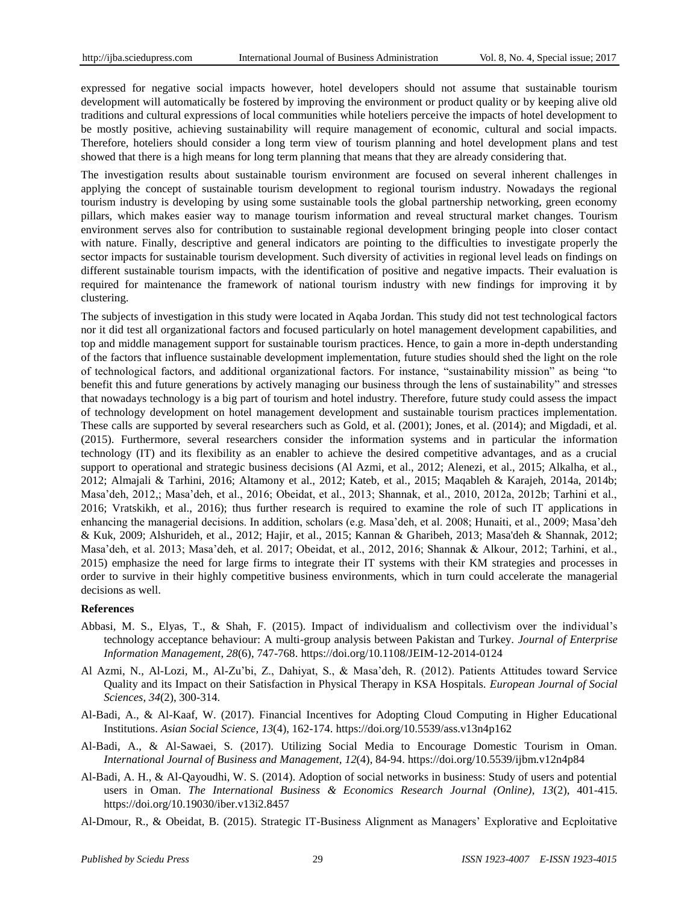expressed for negative social impacts however, hotel developers should not assume that sustainable tourism development will automatically be fostered by improving the environment or product quality or by keeping alive old traditions and cultural expressions of local communities while hoteliers perceive the impacts of hotel development to be mostly positive, achieving sustainability will require management of economic, cultural and social impacts. Therefore, hoteliers should consider a long term view of tourism planning and hotel development plans and test showed that there is a high means for long term planning that means that they are already considering that.

The investigation results about sustainable tourism environment are focused on several inherent challenges in applying the concept of sustainable tourism development to regional tourism industry. Nowadays the regional tourism industry is developing by using some sustainable tools the global partnership networking, green economy pillars, which makes easier way to manage tourism information and reveal structural market changes. Tourism environment serves also for contribution to sustainable regional development bringing people into closer contact with nature. Finally, descriptive and general indicators are pointing to the difficulties to investigate properly the sector impacts for sustainable tourism development. Such diversity of activities in regional level leads on findings on different sustainable tourism impacts, with the identification of positive and negative impacts. Their evaluation is required for maintenance the framework of national tourism industry with new findings for improving it by clustering.

The subjects of investigation in this study were located in Aqaba Jordan. This study did not test technological factors nor it did test all organizational factors and focused particularly on hotel management development capabilities, and top and middle management support for sustainable tourism practices. Hence, to gain a more in-depth understanding of the factors that influence sustainable development implementation, future studies should shed the light on the role of technological factors, and additional organizational factors. For instance, "sustainability mission" as being "to benefit this and future generations by actively managing our business through the lens of sustainability" and stresses that nowadays technology is a big part of tourism and hotel industry. Therefore, future study could assess the impact of technology development on hotel management development and sustainable tourism practices implementation. These calls are supported by several researchers such as Gold, et al. (2001); Jones, et al. (2014); and Migdadi, et al. (2015). Furthermore, several researchers consider the information systems and in particular the information technology (IT) and its flexibility as an enabler to achieve the desired competitive advantages, and as a crucial support to operational and strategic business decisions (Al Azmi, et al., 2012; Alenezi, et al., 2015; Alkalha, et al., 2012; Almajali & Tarhini, 2016; Altamony et al., 2012; Kateb, et al., 2015; Maqableh & Karajeh, 2014a, 2014b; Masa"deh, 2012,; Masa"deh, et al., 2016; Obeidat, et al., 2013; Shannak, et al., 2010, 2012a, 2012b; Tarhini et al., 2016; Vratskikh, et al., 2016); thus further research is required to examine the role of such IT applications in enhancing the managerial decisions. In addition, scholars (e.g. Masa"deh, et al. 2008; Hunaiti, et al., 2009; Masa"deh & Kuk, 2009; Alshurideh, et al., 2012; Hajir, et al., 2015; Kannan & Gharibeh, 2013; Masa'deh & Shannak, 2012; Masa"deh, et al. 2013; Masa"deh, et al. 2017; Obeidat, et al., 2012, 2016; Shannak & Alkour, 2012; Tarhini, et al., 2015) emphasize the need for large firms to integrate their IT systems with their KM strategies and processes in order to survive in their highly competitive business environments, which in turn could accelerate the managerial decisions as well.

#### **References**

- Abbasi, M. S., Elyas, T., & Shah, F. (2015). Impact of individualism and collectivism over the individual"s technology acceptance behaviour: A multi-group analysis between Pakistan and Turkey. *Journal of Enterprise Information Management*, *28*(6), 747-768. https://doi.org/10.1108/JEIM-12-2014-0124
- Al Azmi, N., Al-Lozi, M., Al-Zu"bi, Z., Dahiyat, S., & Masa"deh, R. (2012). Patients Attitudes toward Service Quality and its Impact on their Satisfaction in Physical Therapy in KSA Hospitals. *European Journal of Social Sciences*, *34*(2), 300-314.
- Al-Badi, A., & Al-Kaaf, W. (2017). Financial Incentives for Adopting Cloud Computing in Higher Educational Institutions. *Asian Social Science, 13*(4), 162-174. https://doi.org/10.5539/ass.v13n4p162
- Al-Badi, A., & Al-Sawaei, S. (2017). Utilizing Social Media to Encourage Domestic Tourism in Oman. *International Journal of Business and Management, 12*(4), 84-94. https://doi.org/10.5539/ijbm.v12n4p84
- Al-Badi, A. H., & Al-Qayoudhi, W. S. (2014). Adoption of social networks in business: Study of users and potential users in Oman. *The International Business & Economics Research Journal (Online)*, *13*(2), 401-415. https://doi.org/10.19030/iber.v13i2.8457
- Al-Dmour, R., & Obeidat, B. (2015). Strategic IT-Business Alignment as Managers" Explorative and Ecploitative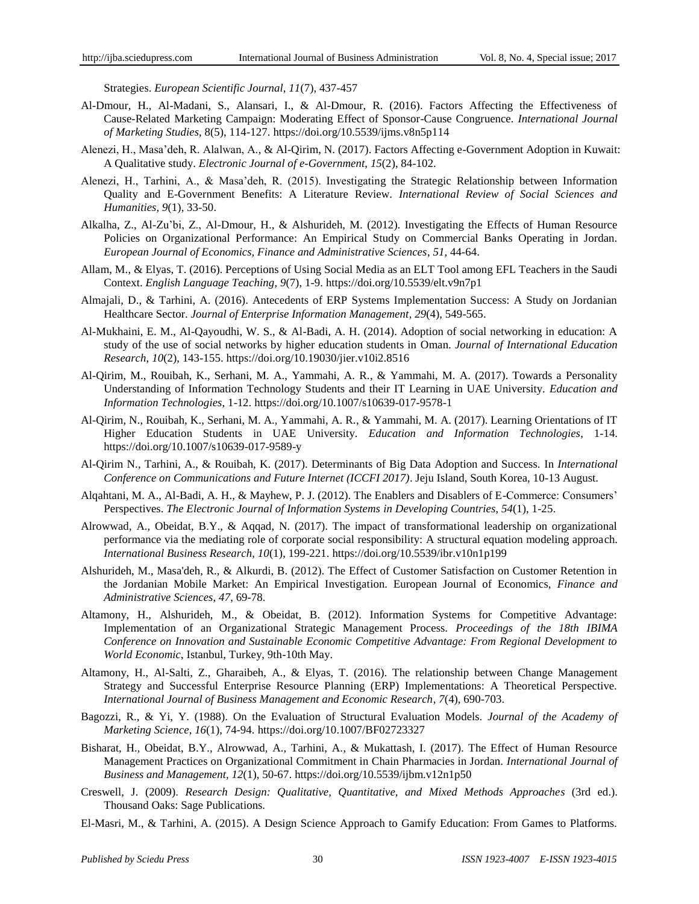Strategies. *European Scientific Journal, 11*(7), 437-457

- Al-Dmour, H., Al-Madani, S., Alansari, I., & Al-Dmour, R. (2016). Factors Affecting the Effectiveness of Cause-Related Marketing Campaign: Moderating Effect of Sponsor-Cause Congruence. *International Journal of Marketing Studies*, 8(5), 114-127. https://doi.org/10.5539/ijms.v8n5p114
- Alenezi, H., Masa"deh, R. Alalwan, A., & Al-Qirim, N. (2017). Factors Affecting e-Government Adoption in Kuwait: A Qualitative study. *Electronic Journal of e-Government*, *15*(2), 84-102.
- Alenezi, H., Tarhini, A., & Masa"deh, R. (2015). Investigating the Strategic Relationship between Information Quality and E-Government Benefits: A Literature Review. *International Review of Social Sciences and Humanities, 9*(1), 33-50.
- Alkalha, Z., Al-Zu"bi, Z., Al-Dmour, H., & Alshurideh, M. (2012). Investigating the Effects of Human Resource Policies on Organizational Performance: An Empirical Study on Commercial Banks Operating in Jordan. *European Journal of Economics, Finance and Administrative Sciences*, *51*, 44-64.
- Allam, M., & Elyas, T. (2016). Perceptions of Using Social Media as an ELT Tool among EFL Teachers in the Saudi Context. *English Language Teaching*, *9*(7), 1-9. https://doi.org/10.5539/elt.v9n7p1
- Almajali, D., & Tarhini, A. (2016). Antecedents of ERP Systems Implementation Success: A Study on Jordanian Healthcare Sector. *Journal of Enterprise Information Management*, *29*(4), 549-565.
- Al-Mukhaini, E. M., Al-Qayoudhi, W. S., & Al-Badi, A. H. (2014). Adoption of social networking in education: A study of the use of social networks by higher education students in Oman. *Journal of International Education Research*, *10*(2), 143-155. https://doi.org/10.19030/jier.v10i2.8516
- Al-Qirim, M., Rouibah, K., Serhani, M. A., Yammahi, A. R., & Yammahi, M. A. (2017). Towards a Personality Understanding of Information Technology Students and their IT Learning in UAE University. *Education and Information Technologies*, 1-12. https://doi.org/10.1007/s10639-017-9578-1
- Al-Qirim, N., Rouibah, K., Serhani, M. A., Yammahi, A. R., & Yammahi, M. A. (2017). Learning Orientations of IT Higher Education Students in UAE University. *Education and Information Technologies*, 1-14. https://doi.org/10.1007/s10639-017-9589-y
- Al-Qirim N., Tarhini, A., & Rouibah, K. (2017). Determinants of Big Data Adoption and Success. In *International Conference on Communications and Future Internet (ICCFI 2017)*. Jeju Island, South Korea, 10-13 August.
- Alqahtani, M. A., Al-Badi, A. H., & Mayhew, P. J. (2012). The Enablers and Disablers of E-Commerce: Consumers" Perspectives. *The Electronic Journal of Information Systems in Developing Countries*, *54*(1), 1-25.
- Alrowwad, A., Obeidat, B.Y., & Aqqad, N. (2017). The impact of transformational leadership on organizational performance via the mediating role of corporate social responsibility: A structural equation modeling approach. *International Business Research, 10*(1), 199-221. https://doi.org/10.5539/ibr.v10n1p199
- Alshurideh, M., Masa'deh, R., & Alkurdi, B. (2012). The Effect of Customer Satisfaction on Customer Retention in the Jordanian Mobile Market: An Empirical Investigation. European Journal of Economics, *Finance and Administrative Sciences*, *47*, 69-78.
- Altamony, H., Alshurideh, M., & Obeidat, B. (2012). Information Systems for Competitive Advantage: Implementation of an Organizational Strategic Management Process. *Proceedings of the 18th IBIMA Conference on Innovation and Sustainable Economic Competitive Advantage: From Regional Development to World Economic*, Istanbul, Turkey, 9th-10th May.
- Altamony, H., Al-Salti, Z., Gharaibeh, A., & Elyas, T. (2016). The relationship between Change Management Strategy and Successful Enterprise Resource Planning (ERP) Implementations: A Theoretical Perspective. *International Journal of Business Management and Economic Research*, *7*(4), 690-703.
- Bagozzi, R., & Yi, Y. (1988). On the Evaluation of Structural Evaluation Models. *Journal of the Academy of Marketing Science*, *16*(1), 74-94. https://doi.org/10.1007/BF02723327
- Bisharat, H., Obeidat, B.Y., Alrowwad, A., Tarhini, A., & Mukattash, I. (2017). The Effect of Human Resource Management Practices on Organizational Commitment in Chain Pharmacies in Jordan. *International Journal of Business and Management, 12*(1), 50-67. https://doi.org/10.5539/ijbm.v12n1p50
- Creswell, J. (2009). *Research Design: Qualitative, Quantitative, and Mixed Methods Approaches* (3rd ed.). Thousand Oaks: Sage Publications.
- El-Masri, M., & Tarhini, A. (2015). A Design Science Approach to Gamify Education: From Games to Platforms.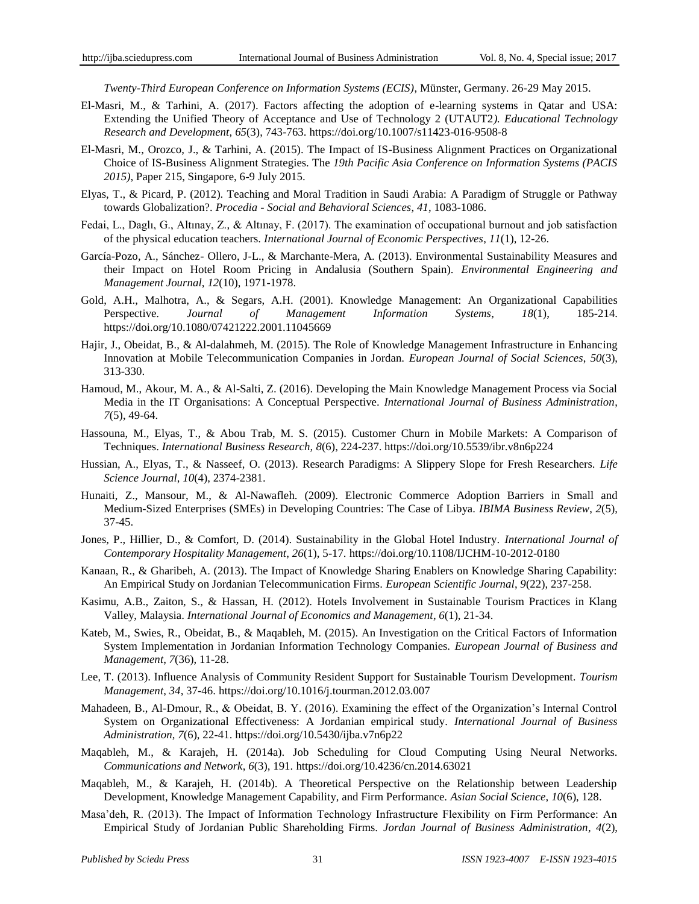*Twenty-Third European Conference on Information Systems (ECIS)*, Münster, Germany. 26-29 May 2015.

- El-Masri, M., & Tarhini, A. (2017). Factors affecting the adoption of e-learning systems in Qatar and USA: Extending the Unified Theory of Acceptance and Use of Technology 2 (UTAUT2*). Educational Technology Research and Development*, *65*(3), 743-763. https://doi.org/10.1007/s11423-016-9508-8
- El-Masri, M., Orozco, J., & Tarhini, A. (2015). The Impact of IS-Business Alignment Practices on Organizational Choice of IS-Business Alignment Strategies. The *19th Pacific Asia Conference on Information Systems (PACIS 2015)*, Paper 215, Singapore, 6-9 July 2015.
- Elyas, T., & Picard, P. (2012). Teaching and Moral Tradition in Saudi Arabia: A Paradigm of Struggle or Pathway towards Globalization?. *Procedia - Social and Behavioral Sciences*, *41*, 1083-1086.
- Fedai, L., Daglı, G., Altınay, Z., & Altınay, F. (2017). The examination of occupational burnout and job satisfaction of the physical education teachers. *International Journal of Economic Perspectives*, *11*(1), 12-26.
- García-Pozo, A., Sánchez- Ollero, J-L., & Marchante-Mera, A. (2013). Environmental Sustainability Measures and their Impact on Hotel Room Pricing in Andalusia (Southern Spain). *Environmental Engineering and Management Journal*, *12*(10), 1971-1978.
- Gold, A.H., Malhotra, A., & Segars, A.H. (2001). Knowledge Management: An Organizational Capabilities Perspective. *Journal of Management Information Systems*, *18*(1), 185-214. https://doi.org/10.1080/07421222.2001.11045669
- Hajir, J., Obeidat, B., & Al-dalahmeh, M. (2015). The Role of Knowledge Management Infrastructure in Enhancing Innovation at Mobile Telecommunication Companies in Jordan. *European Journal of Social Sciences*, *50*(3), 313-330.
- Hamoud, M., Akour, M. A., & Al-Salti, Z. (2016). Developing the Main Knowledge Management Process via Social Media in the IT Organisations: A Conceptual Perspective. *International Journal of Business Administration*, *7*(5), 49-64.
- Hassouna, M., Elyas, T., & Abou Trab, M. S. (2015). Customer Churn in Mobile Markets: A Comparison of Techniques. *International Business Research, 8*(6), 224-237. https://doi.org/10.5539/ibr.v8n6p224
- Hussian, A., Elyas, T., & Nasseef, O. (2013). Research Paradigms: A Slippery Slope for Fresh Researchers. *Life Science Journal*, *10*(4), 2374-2381.
- Hunaiti, Z., Mansour, M., & Al-Nawafleh. (2009). Electronic Commerce Adoption Barriers in Small and Medium-Sized Enterprises (SMEs) in Developing Countries: The Case of Libya. *IBIMA Business Review*, *2*(5), 37-45.
- Jones, P., Hillier, D., & Comfort, D. (2014). Sustainability in the Global Hotel Industry. *International Journal of Contemporary Hospitality Management*, *26*(1), 5-17. https://doi.org/10.1108/IJCHM-10-2012-0180
- Kanaan, R., & Gharibeh, A. (2013). The Impact of Knowledge Sharing Enablers on Knowledge Sharing Capability: An Empirical Study on Jordanian Telecommunication Firms. *European Scientific Journal*, *9*(22), 237-258.
- Kasimu, A.B., Zaiton, S., & Hassan, H. (2012). Hotels Involvement in Sustainable Tourism Practices in Klang Valley, Malaysia. *International Journal of Economics and Management*, *6*(1), 21-34.
- Kateb, M., Swies, R., Obeidat, B., & Maqableh, M. (2015). An Investigation on the Critical Factors of Information System Implementation in Jordanian Information Technology Companies. *European Journal of Business and Management*, *7*(36), 11-28.
- Lee, T. (2013). Influence Analysis of Community Resident Support for Sustainable Tourism Development. *Tourism Management*, *34*, 37-46. https://doi.org/10.1016/j.tourman.2012.03.007
- Mahadeen, B., Al-Dmour, R., & Obeidat, B. Y. (2016). Examining the effect of the Organization"s Internal Control System on Organizational Effectiveness: A Jordanian empirical study. *International Journal of Business Administration*, *7*(6), 22-41. https://doi.org/10.5430/ijba.v7n6p22
- Maqableh, M., & Karajeh, H. (2014a). Job Scheduling for Cloud Computing Using Neural Networks. *Communications and Network*, *6*(3), 191. https://doi.org/10.4236/cn.2014.63021
- Maqableh, M., & Karajeh, H. (2014b). A Theoretical Perspective on the Relationship between Leadership Development, Knowledge Management Capability, and Firm Performance. *Asian Social Science*, *10*(6), 128.
- Masa"deh, R. (2013). The Impact of Information Technology Infrastructure Flexibility on Firm Performance: An Empirical Study of Jordanian Public Shareholding Firms. *Jordan Journal of Business Administration*, *4*(2),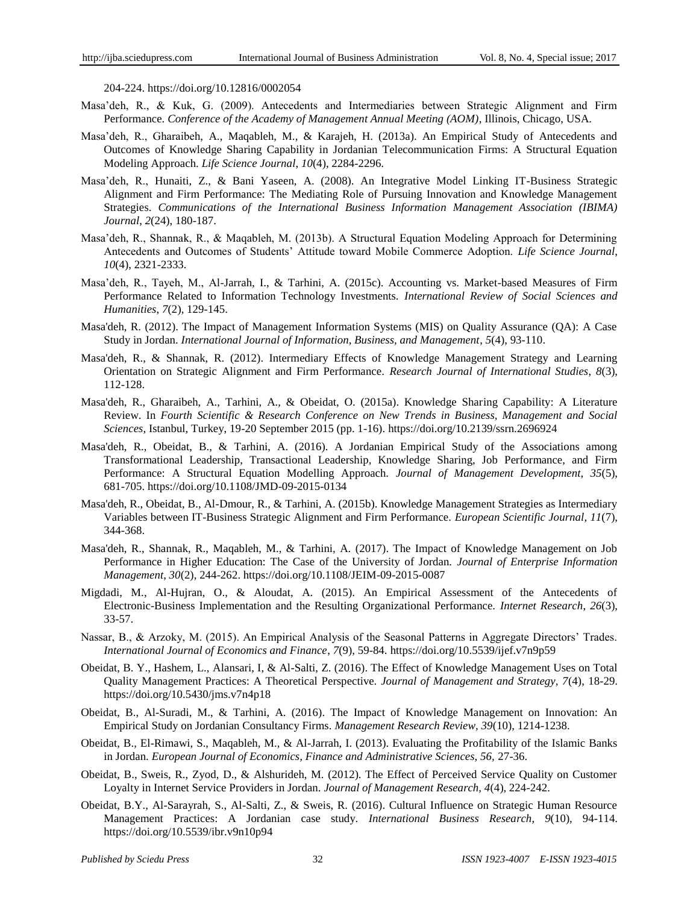204-224. https://doi.org/10.12816/0002054

- Masa"deh, R., & Kuk, G. (2009). Antecedents and Intermediaries between Strategic Alignment and Firm Performance. *Conference of the Academy of Management Annual Meeting (AOM)*, Illinois, Chicago, USA.
- Masa"deh, R., Gharaibeh, A., Maqableh, M., & Karajeh, H. (2013a). An Empirical Study of Antecedents and Outcomes of Knowledge Sharing Capability in Jordanian Telecommunication Firms: A Structural Equation Modeling Approach. *Life Science Journal*, *10*(4), 2284-2296.
- Masa"deh, R., Hunaiti, Z., & Bani Yaseen, A. (2008). An Integrative Model Linking IT-Business Strategic Alignment and Firm Performance: The Mediating Role of Pursuing Innovation and Knowledge Management Strategies. *Communications of the International Business Information Management Association (IBIMA) Journal*, *2*(24), 180-187.
- Masa"deh, R., Shannak, R., & Maqableh, M. (2013b). A Structural Equation Modeling Approach for Determining Antecedents and Outcomes of Students" Attitude toward Mobile Commerce Adoption. *Life Science Journal*, *10*(4), 2321-2333.
- Masa"deh, R., Tayeh, M., Al-Jarrah, I., & Tarhini, A. (2015c). Accounting vs. Market-based Measures of Firm Performance Related to Information Technology Investments. *International Review of Social Sciences and Humanities*, *7*(2), 129-145.
- Masa'deh, R. (2012). The Impact of Management Information Systems (MIS) on Quality Assurance (QA): A Case Study in Jordan. *International Journal of Information, Business, and Management*, *5*(4), 93-110.
- Masa'deh, R., & Shannak, R. (2012). Intermediary Effects of Knowledge Management Strategy and Learning Orientation on Strategic Alignment and Firm Performance. *Research Journal of International Studies*, *8*(3), 112-128.
- Masa'deh, R., Gharaibeh, A., Tarhini, A., & Obeidat, O. (2015a). Knowledge Sharing Capability: A Literature Review. In *Fourth Scientific & Research Conference on New Trends in Business, Management and Social Sciences*, Istanbul, Turkey, 19-20 September 2015 (pp. 1-16). https://doi.org/10.2139/ssrn.2696924
- Masa'deh, R., Obeidat, B., & Tarhini, A. (2016). A Jordanian Empirical Study of the Associations among Transformational Leadership, Transactional Leadership, Knowledge Sharing, Job Performance, and Firm Performance: A Structural Equation Modelling Approach. *Journal of Management Development*, *35*(5), 681-705. https://doi.org/10.1108/JMD-09-2015-0134
- Masa'deh, R., Obeidat, B., Al-Dmour, R., & Tarhini, A. (2015b). Knowledge Management Strategies as Intermediary Variables between IT-Business Strategic Alignment and Firm Performance. *European Scientific Journal*, *11*(7), 344-368.
- Masa'deh, R., Shannak, R., Maqableh, M., & Tarhini, A. (2017). The Impact of Knowledge Management on Job Performance in Higher Education: The Case of the University of Jordan. *Journal of Enterprise Information Management*, *30*(2), 244-262. https://doi.org/10.1108/JEIM-09-2015-0087
- Migdadi, M., Al-Hujran, O., & Aloudat, A. (2015). An Empirical Assessment of the Antecedents of Electronic-Business Implementation and the Resulting Organizational Performance. *Internet Research*, *26*(3), 33-57.
- Nassar, B., & Arzoky, M. (2015). An Empirical Analysis of the Seasonal Patterns in Aggregate Directors' Trades. *International Journal of Economics and Finance*, *7*(9), 59-84. https://doi.org/10.5539/ijef.v7n9p59
- Obeidat, B. Y., Hashem, L., Alansari, I, & Al-Salti, Z. (2016). The Effect of Knowledge Management Uses on Total Quality Management Practices: A Theoretical Perspective. *Journal of Management and Strategy, 7*(4), 18-29. https://doi.org/10.5430/jms.v7n4p18
- Obeidat, B., Al-Suradi, M., & Tarhini, A. (2016). The Impact of Knowledge Management on Innovation: An Empirical Study on Jordanian Consultancy Firms. *Management Research Review, 39*(10), 1214-1238.
- Obeidat, B., El-Rimawi, S., Maqableh, M., & Al-Jarrah, I. (2013). Evaluating the Profitability of the Islamic Banks in Jordan. *European Journal of Economics, Finance and Administrative Sciences, 56,* 27-36.
- Obeidat, B., Sweis, R., Zyod, D., & Alshurideh, M. (2012). The Effect of Perceived Service Quality on Customer Loyalty in Internet Service Providers in Jordan. *Journal of Management Research, 4*(4), 224-242.
- Obeidat, B.Y., Al-Sarayrah, S., Al-Salti, Z., & Sweis, R. (2016). Cultural Influence on Strategic Human Resource Management Practices: A Jordanian case study. *International Business Research*, *9*(10), 94-114. https://doi.org/10.5539/ibr.v9n10p94